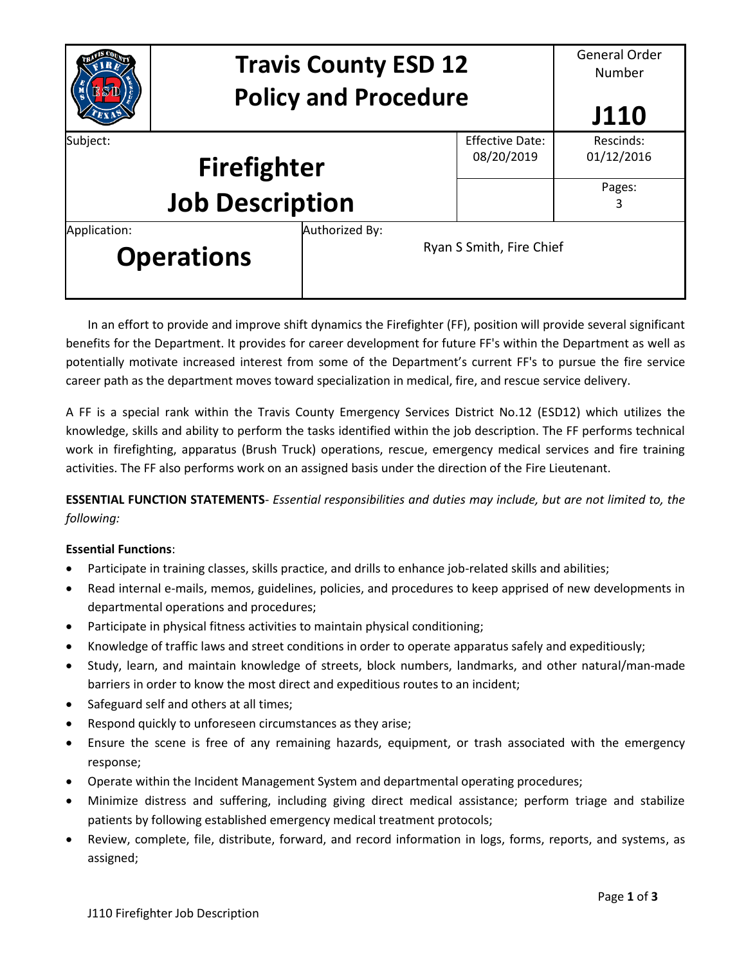|                                  | <b>Travis County ESD 12</b> |                          | <b>General Order</b><br>Number |           |
|----------------------------------|-----------------------------|--------------------------|--------------------------------|-----------|
|                                  | <b>Policy and Procedure</b> |                          |                                | J110      |
| Subject:                         |                             |                          | <b>Effective Date:</b>         | Rescinds: |
| 08/20/2019<br><b>Firefighter</b> |                             |                          | 01/12/2016                     |           |
|                                  |                             |                          | Pages:                         |           |
| <b>Job Description</b>           |                             |                          | 3                              |           |
| Application:                     |                             | Authorized By:           |                                |           |
| <b>Operations</b>                |                             | Ryan S Smith, Fire Chief |                                |           |

In an effort to provide and improve shift dynamics the Firefighter (FF), position will provide several significant benefits for the Department. It provides for career development for future FF's within the Department as well as potentially motivate increased interest from some of the Department's current FF's to pursue the fire service career path as the department moves toward specialization in medical, fire, and rescue service delivery.

A FF is a special rank within the Travis County Emergency Services District No.12 (ESD12) which utilizes the knowledge, skills and ability to perform the tasks identified within the job description. The FF performs technical work in firefighting, apparatus (Brush Truck) operations, rescue, emergency medical services and fire training activities. The FF also performs work on an assigned basis under the direction of the Fire Lieutenant.

**ESSENTIAL FUNCTION STATEMENTS**- *Essential responsibilities and duties may include, but are not limited to, the following:*

# **Essential Functions**:

- Participate in training classes, skills practice, and drills to enhance job-related skills and abilities;
- Read internal e-mails, memos, guidelines, policies, and procedures to keep apprised of new developments in departmental operations and procedures;
- Participate in physical fitness activities to maintain physical conditioning;
- Knowledge of traffic laws and street conditions in order to operate apparatus safely and expeditiously;
- Study, learn, and maintain knowledge of streets, block numbers, landmarks, and other natural/man-made barriers in order to know the most direct and expeditious routes to an incident;
- Safeguard self and others at all times;
- Respond quickly to unforeseen circumstances as they arise;
- Ensure the scene is free of any remaining hazards, equipment, or trash associated with the emergency response;
- Operate within the Incident Management System and departmental operating procedures;
- Minimize distress and suffering, including giving direct medical assistance; perform triage and stabilize patients by following established emergency medical treatment protocols;
- Review, complete, file, distribute, forward, and record information in logs, forms, reports, and systems, as assigned;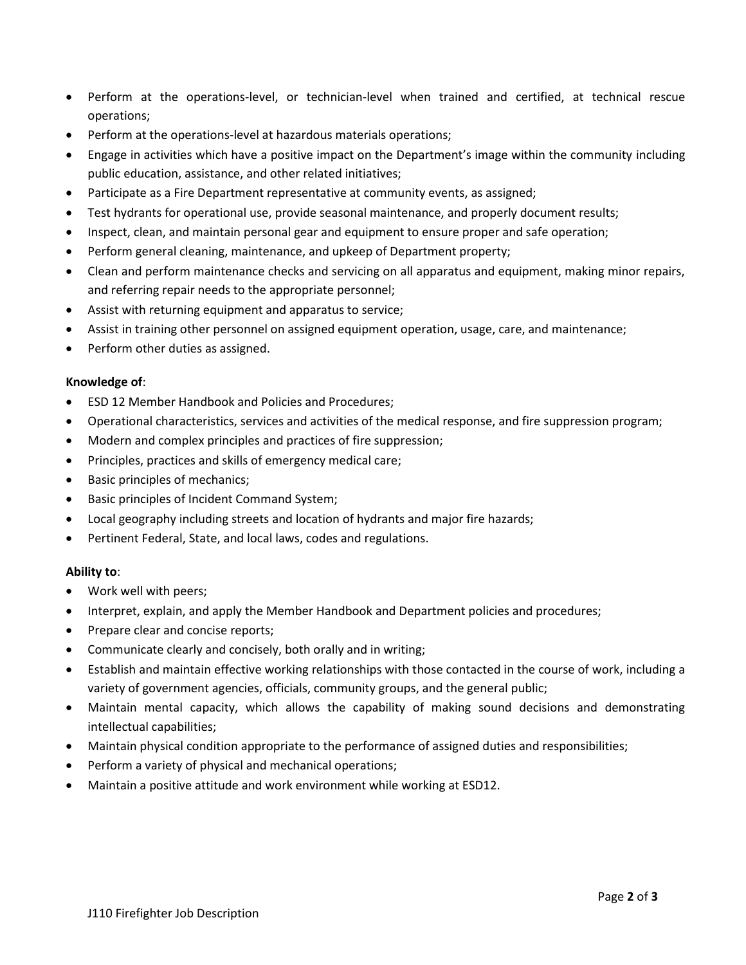- Perform at the operations-level, or technician-level when trained and certified, at technical rescue operations;
- Perform at the operations-level at hazardous materials operations;
- Engage in activities which have a positive impact on the Department's image within the community including public education, assistance, and other related initiatives;
- Participate as a Fire Department representative at community events, as assigned;
- Test hydrants for operational use, provide seasonal maintenance, and properly document results;
- Inspect, clean, and maintain personal gear and equipment to ensure proper and safe operation;
- Perform general cleaning, maintenance, and upkeep of Department property;
- Clean and perform maintenance checks and servicing on all apparatus and equipment, making minor repairs, and referring repair needs to the appropriate personnel;
- Assist with returning equipment and apparatus to service;
- Assist in training other personnel on assigned equipment operation, usage, care, and maintenance;
- Perform other duties as assigned.

## **Knowledge of**:

- ESD 12 Member Handbook and Policies and Procedures;
- Operational characteristics, services and activities of the medical response, and fire suppression program;
- Modern and complex principles and practices of fire suppression;
- Principles, practices and skills of emergency medical care;
- Basic principles of mechanics;
- Basic principles of Incident Command System;
- Local geography including streets and location of hydrants and major fire hazards;
- Pertinent Federal, State, and local laws, codes and regulations.

## **Ability to**:

- Work well with peers;
- Interpret, explain, and apply the Member Handbook and Department policies and procedures;
- Prepare clear and concise reports;
- Communicate clearly and concisely, both orally and in writing;
- Establish and maintain effective working relationships with those contacted in the course of work, including a variety of government agencies, officials, community groups, and the general public;
- Maintain mental capacity, which allows the capability of making sound decisions and demonstrating intellectual capabilities;
- Maintain physical condition appropriate to the performance of assigned duties and responsibilities;
- Perform a variety of physical and mechanical operations;
- Maintain a positive attitude and work environment while working at ESD12.